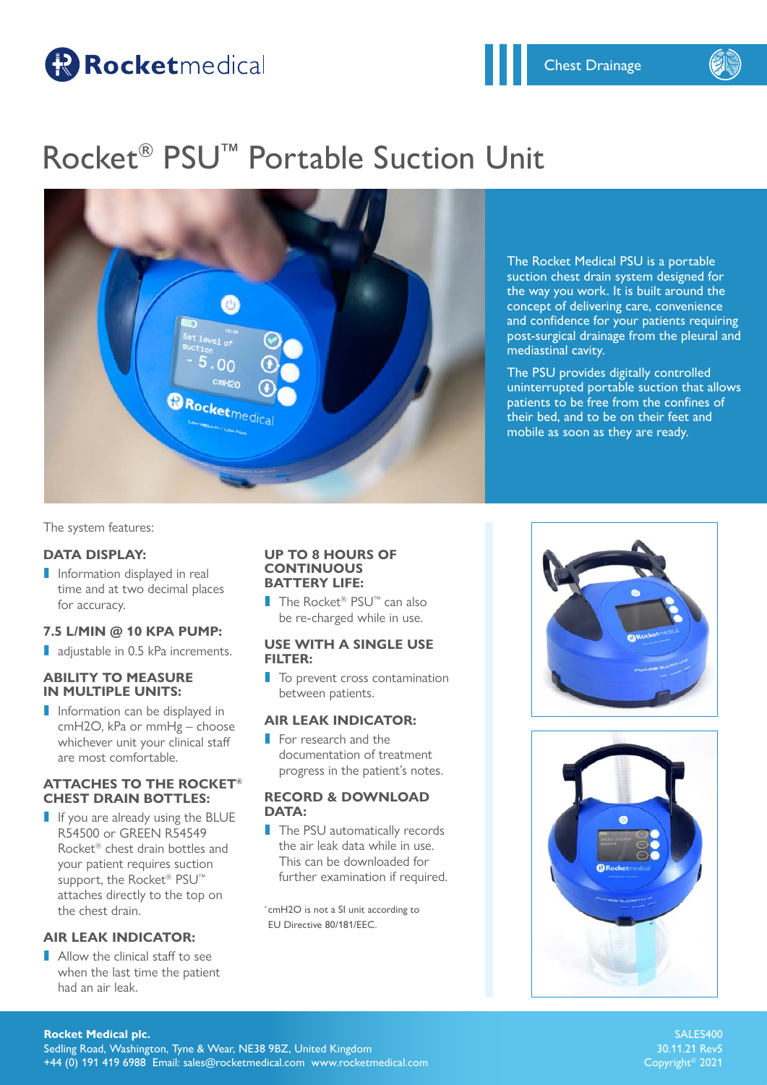# Rocketmedical

# Rocket® PSU™ Portable Suction Unit



The Rocket Medical PSU is a portable suction chest drain system designed for the way you work. It is built around the concept of delivering care, convenience and confidence for your patients requiring post-surgical drainage from the pleural and mediastinal cavity.

The PSU provides digitally controlled uninterrupted portable suction that allows patients to be free from the confines of their bed, and to be on their feet and mobile as soon as they are ready.

The system features:

## **DATA DISPLAY:**

**I** Information displayed in real time and at two decimal places for accuracy.

## **7.5 L/MIN @ 10 KPA PUMP:**

**I** adjustable in 0.5 kPa increments.

## **ABILITY TO MEASURE IN MULTIPLE UNITS:**

**I** Information can be displayed in cmH2O, kPa or mmHg – choose whichever unit your clinical staff are most comfortable.

## **ATTACHES TO THE ROCKET® CHEST DRAIN BOTTLES:**

**I** If you are already using the BLUE R54500 or GREEN R54549 Rocket® chest drain bottles and your patient requires suction support, the Rocket<sup>®</sup> PSU<sup>™</sup> attaches directly to the top on the chest drain.

## **AIR LEAK INDICATOR:**

**I** Allow the clinical staff to see when the last time the patient had an air leak.

#### **UP TO 8 HOURS OF CONTINUOUS BATTERY LIFE:**

■ The Rocket<sup>®</sup> PSU<sup>™</sup> can also be re-charged while in use.

## **USE WITH A SINGLE USE FILTER:**

**I** To prevent cross contamination between patients.

## **AIR LEAK INDICATOR:**

**I** For research and the documentation of treatment progress in the patient's notes.

### **RECORD & DOWNLOAD DATA:**

**I** The PSU automatically records the air leak data while in use. This can be downloaded for further examination if required.

\* cmH2O is not a SI unit according to EU Directive 80/181/EEC.





SALES400 Copyright© 2021